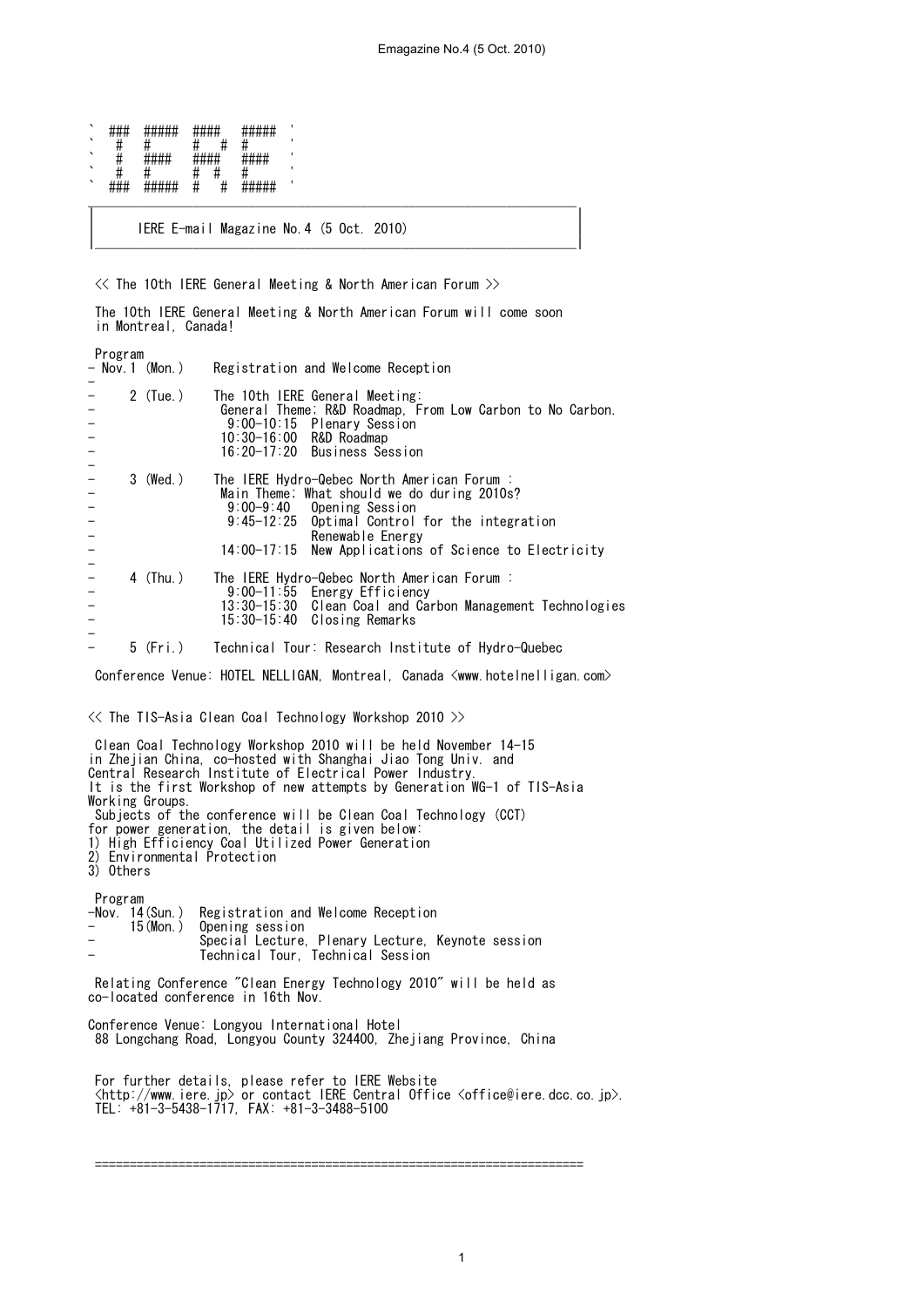| `       | ,, ,, ,,       | ,,,,,,,,,,<br>#####              | $\pi\pi\pi\pi$         |   | <del>*****</del>                          |  |
|---------|----------------|----------------------------------|------------------------|---|-------------------------------------------|--|
| `       | π              |                                  |                        |   |                                           |  |
| `       | π              | <b>ш ш ш ш</b><br>$\pi\pi\pi\pi$ | шшшш<br>$\pi\pi\pi\pi$ |   | 1111111<br><del>.</del>                   |  |
| `       | π              |                                  |                        |   |                                           |  |
| $\cdot$ | <del>###</del> | #####                            | π                      | π | <i>пппп</i> п<br>1000<br><del>#####</del> |  |

| IERE E-mail Magazine No.4 (5 Oct. 2010) | |\_\_\_\_\_\_\_\_\_\_\_\_\_\_\_\_\_\_\_\_\_\_\_\_\_\_\_\_\_\_\_\_\_\_\_\_\_\_\_\_\_\_\_\_\_\_\_\_\_\_\_\_\_\_\_\_\_\_\_\_\_\_\_\_\_\_\_\_\_|

 $\ll$  The 10th IERE General Meeting & North American Forum  $\gg$ 

 The 10th IERE General Meeting & North American Forum will come soon in Montreal, Canada!

| |

| Program<br>- Nov.1 (Mon.)           |            | Registration and Welcome Reception                                                                                                                                                                                                                           |
|-------------------------------------|------------|--------------------------------------------------------------------------------------------------------------------------------------------------------------------------------------------------------------------------------------------------------------|
| $\frac{1}{1}$                       | $2$ (Tue.) | The 10th IERE General Meeting:<br>General Theme; R&D Roadmap, From Low Carbon to No Carbon.<br>9:00-10:15 Plenary Session<br>$10:30-16:00$ R&D Roadmap<br>16:20-17:20 Business Session                                                                       |
| $\frac{1}{1}$<br>$\frac{1}{1}$<br>- | 3 (Wed.)   | The IERE Hydro-Qebec North American Forum :<br>Main Theme; What should we do during 2010s?<br>$9:00-9:40$<br>Opening Session<br>9:45-12:25 Optimal Control for the integration<br>Renewable Energy<br>14:00-17:15 New Applications of Science to Electricity |
| $\frac{1}{1}$<br>$\frac{1}{1}$      | 4 (Thu.)   | The IERE Hydro-Qebec North American Forum :<br>9:00-11:55 Energy Efficiency<br>13:30-15:30 Clean Coal and Carbon Management Technologies<br>15:30-15:40 Closing Remarks                                                                                      |
|                                     | 5 (Fri.)   | Technical Tour: Research Institute of Hydro-Quebec                                                                                                                                                                                                           |

Conference Venue: HOTEL NELLIGAN, Montreal, Canada <www.hotelnelligan.com>

<< The TIS-Asia Clean Coal Technology Workshop 2010 >>

 Clean Coal Technology Workshop 2010 will be held November 14-15 in Zhejian China, co-hosted with Shanghai Jiao Tong Univ. and Central Research Institute of Electrical Power Industry. It is the first Workshop of new attempts by Generation WG-1 of TIS-Asia Working Groups. Subjects of the conference will be Clean Coal Technology (CCT) for power generation, the detail is given below: 1) High Efficiency Coal Utilized Power Generation 2) Environmental Protection 3) Others Program<br>-Nov. 14(Sun.) -Nov. 14(Sun.) Registration and Welcome Reception - 15(Mon.) Opening session - Special Lecture, Plenary Lecture, Keynote session - Technical Tour, Technical Session Relating Conference "Clean Energy Technology 2010" will be held as co-located conference in 16th Nov. Conference Venue: Longyou International Hotel 88 Longchang Road, Longyou County 324400, Zhejiang Province, China For further details, please refer to IERE Website  $\delta$  /  $\delta$  //www.iere.jp $\delta$  or contact IERE Central Office  $\delta$ office@iere.dcc.co.jp $\delta$ . TEL: +81-3-5438-1717, FAX: +81-3-3488-5100

======================================================================